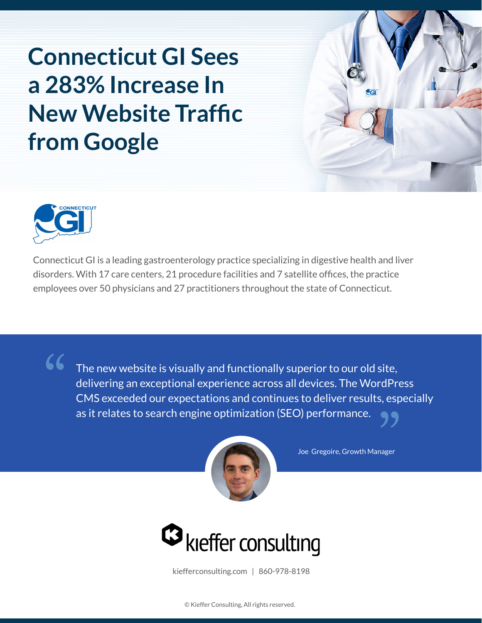# **Connecticut GI Sees a 283% Increase In New Website Traffic from Google**





Connecticut GI is a leading gastroenterology practice specializing in digestive health and liver disorders. With 17 care centers, 21 procedure facilities and 7 satellite offices, the practice employees over 50 physicians and 27 practitioners throughout the state of Connecticut.

The new website is visually and functionally superior to our old site,<br>delivering an exceptional experience across all devices. The WordPr<br>CMS exceeded our expectations and continues to deliver results, esp<br>as it relates t delivering an exceptional experience across all devices. The WordPress **CMS exceeded our expectations and continues to deliver results, especially**<br>as it relates to search engine optimization (SEO) performance. as it relates to search engine optimization (SEO) performance.



Joe Gregoire, Growth Manager



kiefferconsulting.com | 860-978-8198

© Kieffer Consulting, All rights reserved.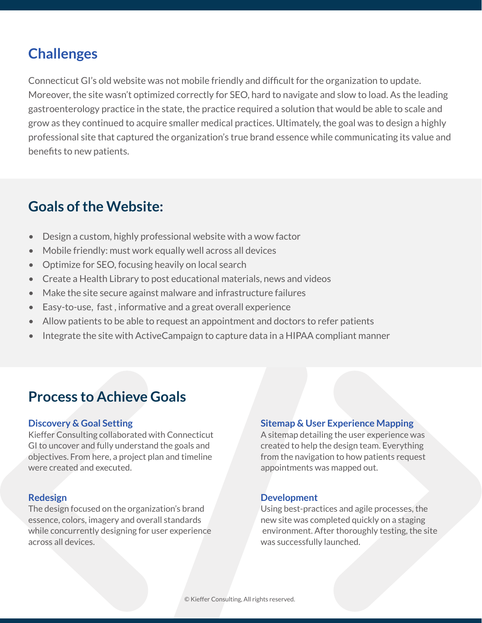## **Challenges**

Connecticut GI's old website was not mobile friendly and difficult for the organization to update. Moreover, the site wasn't optimized correctly for SEO, hard to navigate and slow to load. As the leading gastroenterology practice in the state, the practice required a solution that would be able to scale and grow as they continued to acquire smaller medical practices. Ultimately, the goal was to design a highly professional site that captured the organization's true brand essence while communicating its value and benefits to new patients.

## **Goals of the Website:**

- Design a custom, highly professional website with a wow factor
- Mobile friendly: must work equally well across all devices
- Optimize for SEO, focusing heavily on local search
- Create a Health Library to post educational materials, news and videos
- Make the site secure against malware and infrastructure failures
- Easy-to-use, fast , informative and a great overall experience
- Allow patients to be able to request an appointment and doctors to refer patients
- Integrate the site with ActiveCampaign to capture data in a HIPAA compliant manner

### **Process to Achieve Goals**

#### **Discovery & Goal Setting**

Kieffer Consulting collaborated with Connecticut GI to uncover and fully understand the goals and objectives. From here, a project plan and timeline were created and executed.

#### **Redesign**

The design focused on the organization's brand essence, colors, imagery and overall standards while concurrently designing for user experience across all devices.

#### **Sitemap & User Experience Mapping**

A sitemap detailing the user experience was created to help the design team. Everything from the navigation to how patients request appointments was mapped out.

#### **Development**

Using best-practices and agile processes, the new site was completed quickly on a staging environment. After thoroughly testing, the site was successfully launched.